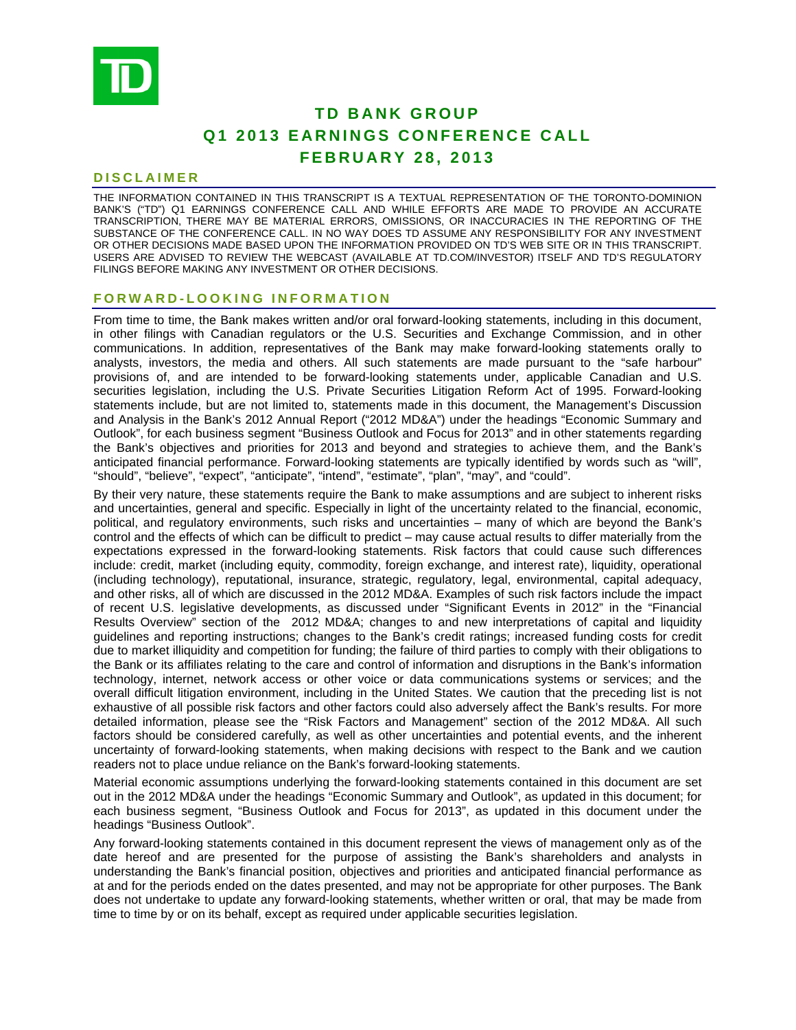

# **TD BANK GROUP Q1 2013 EARNINGS CONFERENCE CALL FEBRUARY 28, 2013**

# **DISCLAIMER**

THE INFORMATION CONTAINED IN THIS TRANSCRIPT IS A TEXTUAL REPRESENTATION OF THE TORONTO-DOMINION BANK'S ("TD") Q1 EARNINGS CONFERENCE CALL AND WHILE EFFORTS ARE MADE TO PROVIDE AN ACCURATE TRANSCRIPTION, THERE MAY BE MATERIAL ERRORS, OMISSIONS, OR INACCURACIES IN THE REPORTING OF THE SUBSTANCE OF THE CONFERENCE CALL. IN NO WAY DOES TD ASSUME ANY RESPONSIBILITY FOR ANY INVESTMENT OR OTHER DECISIONS MADE BASED UPON THE INFORMATION PROVIDED ON TD'S WEB SITE OR IN THIS TRANSCRIPT. USERS ARE ADVISED TO REVIEW THE WEBCAST (AVAILABLE AT TD.COM/INVESTOR) ITSELF AND TD'S REGULATORY FILINGS BEFORE MAKING ANY INVESTMENT OR OTHER DECISIONS.

### **FORWARD-LOOKING INFORMATION**

From time to time, the Bank makes written and/or oral forward-looking statements, including in this document, in other filings with Canadian regulators or the U.S. Securities and Exchange Commission, and in other communications. In addition, representatives of the Bank may make forward-looking statements orally to analysts, investors, the media and others. All such statements are made pursuant to the "safe harbour" provisions of, and are intended to be forward-looking statements under, applicable Canadian and U.S. securities legislation, including the U.S. Private Securities Litigation Reform Act of 1995. Forward-looking statements include, but are not limited to, statements made in this document, the Management's Discussion and Analysis in the Bank's 2012 Annual Report ("2012 MD&A") under the headings "Economic Summary and Outlook", for each business segment "Business Outlook and Focus for 2013" and in other statements regarding the Bank's objectives and priorities for 2013 and beyond and strategies to achieve them, and the Bank's anticipated financial performance. Forward-looking statements are typically identified by words such as "will", "should", "believe", "expect", "anticipate", "intend", "estimate", "plan", "may", and "could".

By their very nature, these statements require the Bank to make assumptions and are subject to inherent risks and uncertainties, general and specific. Especially in light of the uncertainty related to the financial, economic, political, and regulatory environments, such risks and uncertainties – many of which are beyond the Bank's control and the effects of which can be difficult to predict – may cause actual results to differ materially from the expectations expressed in the forward-looking statements. Risk factors that could cause such differences include: credit, market (including equity, commodity, foreign exchange, and interest rate), liquidity, operational (including technology), reputational, insurance, strategic, regulatory, legal, environmental, capital adequacy, and other risks, all of which are discussed in the 2012 MD&A. Examples of such risk factors include the impact of recent U.S. legislative developments, as discussed under "Significant Events in 2012" in the "Financial Results Overview" section of the 2012 MD&A; changes to and new interpretations of capital and liquidity guidelines and reporting instructions; changes to the Bank's credit ratings; increased funding costs for credit due to market illiquidity and competition for funding; the failure of third parties to comply with their obligations to the Bank or its affiliates relating to the care and control of information and disruptions in the Bank's information technology, internet, network access or other voice or data communications systems or services; and the overall difficult litigation environment, including in the United States. We caution that the preceding list is not exhaustive of all possible risk factors and other factors could also adversely affect the Bank's results. For more detailed information, please see the "Risk Factors and Management" section of the 2012 MD&A. All such factors should be considered carefully, as well as other uncertainties and potential events, and the inherent uncertainty of forward-looking statements, when making decisions with respect to the Bank and we caution readers not to place undue reliance on the Bank's forward-looking statements.

Material economic assumptions underlying the forward-looking statements contained in this document are set out in the 2012 MD&A under the headings "Economic Summary and Outlook", as updated in this document; for each business segment, "Business Outlook and Focus for 2013", as updated in this document under the headings "Business Outlook".

Any forward-looking statements contained in this document represent the views of management only as of the date hereof and are presented for the purpose of assisting the Bank's shareholders and analysts in understanding the Bank's financial position, objectives and priorities and anticipated financial performance as at and for the periods ended on the dates presented, and may not be appropriate for other purposes. The Bank does not undertake to update any forward-looking statements, whether written or oral, that may be made from time to time by or on its behalf, except as required under applicable securities legislation.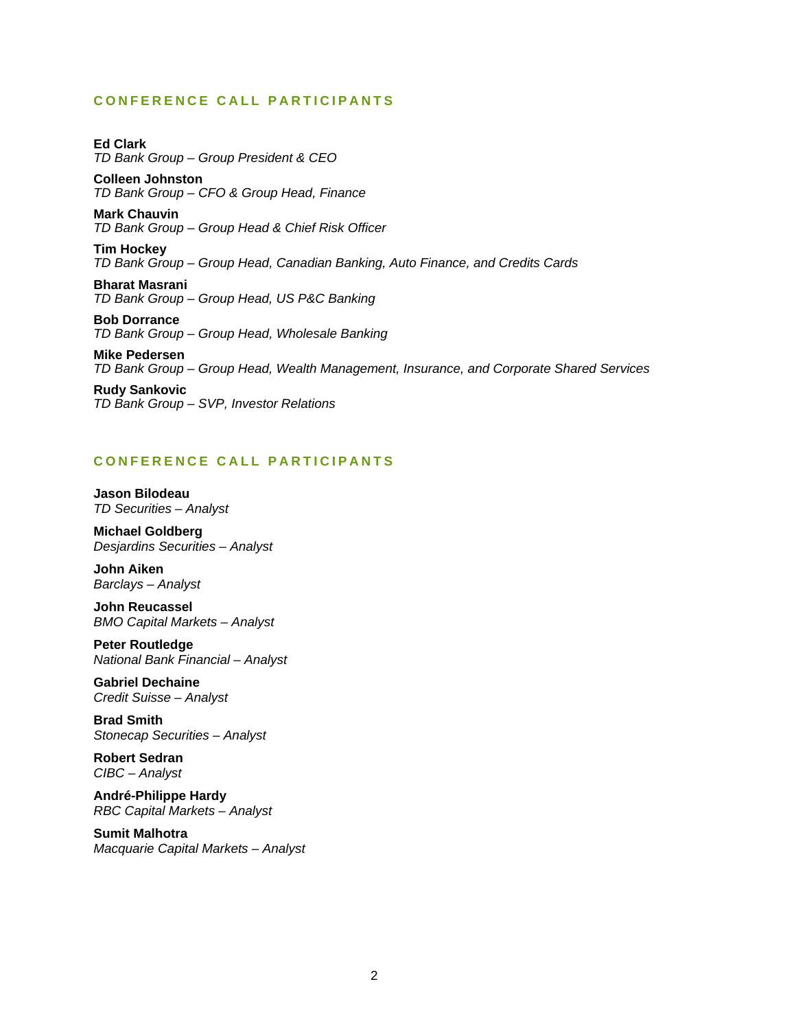# **CONFERENCE CALL PARTICIPANTS**

**Ed Clark**  *TD Bank Group – Group President & CEO* 

**Colleen Johnston**  *TD Bank Group – CFO & Group Head, Finance* 

**Mark Chauvin**  *TD Bank Group – Group Head & Chief Risk Officer* 

**Tim Hockey**  *TD Bank Group – Group Head, Canadian Banking, Auto Finance, and Credits Cards* 

**Bharat Masrani**  *TD Bank Group – Group Head, US P&C Banking* 

**Bob Dorrance**  *TD Bank Group – Group Head, Wholesale Banking* 

**Mike Pedersen**  *TD Bank Group – Group Head, Wealth Management, Insurance, and Corporate Shared Services* 

**Rudy Sankovic**  *TD Bank Group – SVP, Investor Relations* 

# **CONFERENCE CALL PARTICIPANTS**

**Jason Bilodeau**  *TD Securities – Analyst* 

**Michael Goldberg**  *Desjardins Securities – Analyst* 

**John Aiken**  *Barclays – Analyst* 

**John Reucassel**  *BMO Capital Markets – Analyst* 

**Peter Routledge**  *National Bank Financial – Analyst* 

**Gabriel Dechaine**  *Credit Suisse – Analyst* 

**Brad Smith**  *Stonecap Securities – Analyst* 

**Robert Sedran**  *CIBC – Analyst* 

**André-Philippe Hardy**  *RBC Capital Markets – Analyst* 

**Sumit Malhotra**  *Macquarie Capital Markets – Analyst*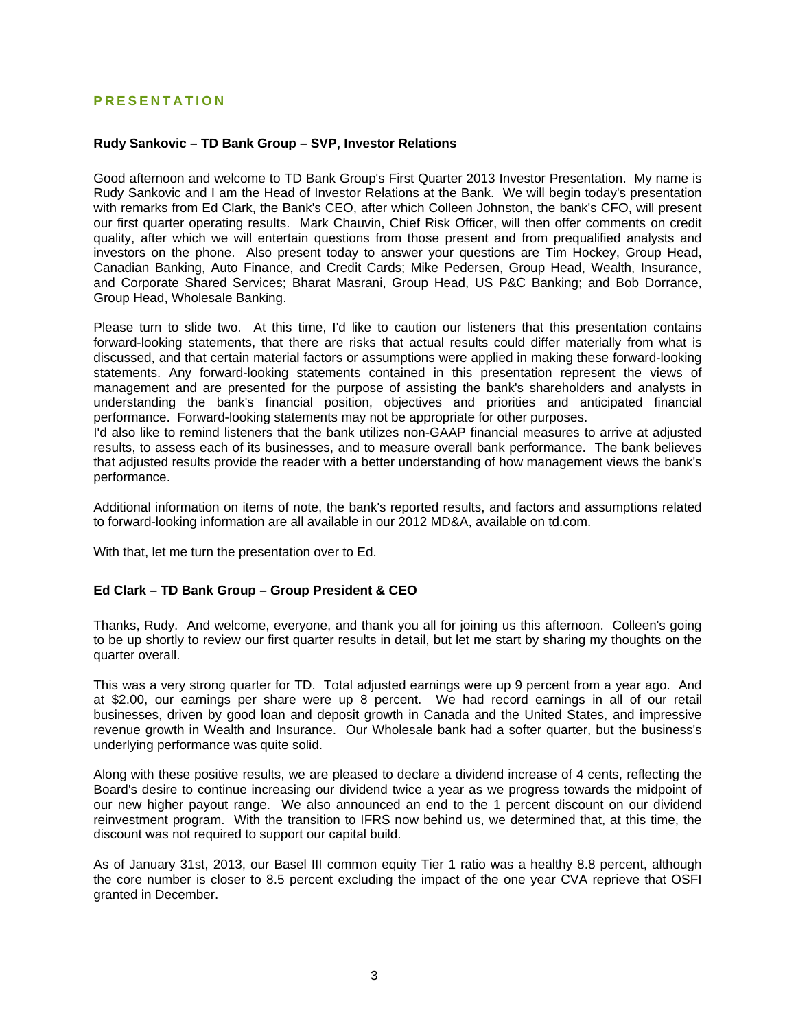# **PRESENTATION**

# **Rudy Sankovic – TD Bank Group – SVP, Investor Relations**

Good afternoon and welcome to TD Bank Group's First Quarter 2013 Investor Presentation. My name is Rudy Sankovic and I am the Head of Investor Relations at the Bank. We will begin today's presentation with remarks from Ed Clark, the Bank's CEO, after which Colleen Johnston, the bank's CFO, will present our first quarter operating results. Mark Chauvin, Chief Risk Officer, will then offer comments on credit quality, after which we will entertain questions from those present and from prequalified analysts and investors on the phone. Also present today to answer your questions are Tim Hockey, Group Head, Canadian Banking, Auto Finance, and Credit Cards; Mike Pedersen, Group Head, Wealth, Insurance, and Corporate Shared Services; Bharat Masrani, Group Head, US P&C Banking; and Bob Dorrance, Group Head, Wholesale Banking.

Please turn to slide two. At this time, I'd like to caution our listeners that this presentation contains forward-looking statements, that there are risks that actual results could differ materially from what is discussed, and that certain material factors or assumptions were applied in making these forward-looking statements. Any forward-looking statements contained in this presentation represent the views of management and are presented for the purpose of assisting the bank's shareholders and analysts in understanding the bank's financial position, objectives and priorities and anticipated financial performance. Forward-looking statements may not be appropriate for other purposes.

I'd also like to remind listeners that the bank utilizes non-GAAP financial measures to arrive at adjusted results, to assess each of its businesses, and to measure overall bank performance. The bank believes that adjusted results provide the reader with a better understanding of how management views the bank's performance.

Additional information on items of note, the bank's reported results, and factors and assumptions related to forward-looking information are all available in our 2012 MD&A, available on td.com.

With that, let me turn the presentation over to Ed.

# **Ed Clark – TD Bank Group – Group President & CEO**

Thanks, Rudy. And welcome, everyone, and thank you all for joining us this afternoon. Colleen's going to be up shortly to review our first quarter results in detail, but let me start by sharing my thoughts on the quarter overall.

This was a very strong quarter for TD. Total adjusted earnings were up 9 percent from a year ago. And at \$2.00, our earnings per share were up 8 percent. We had record earnings in all of our retail businesses, driven by good loan and deposit growth in Canada and the United States, and impressive revenue growth in Wealth and Insurance. Our Wholesale bank had a softer quarter, but the business's underlying performance was quite solid.

Along with these positive results, we are pleased to declare a dividend increase of 4 cents, reflecting the Board's desire to continue increasing our dividend twice a year as we progress towards the midpoint of our new higher payout range. We also announced an end to the 1 percent discount on our dividend reinvestment program. With the transition to IFRS now behind us, we determined that, at this time, the discount was not required to support our capital build.

As of January 31st, 2013, our Basel III common equity Tier 1 ratio was a healthy 8.8 percent, although the core number is closer to 8.5 percent excluding the impact of the one year CVA reprieve that OSFI granted in December.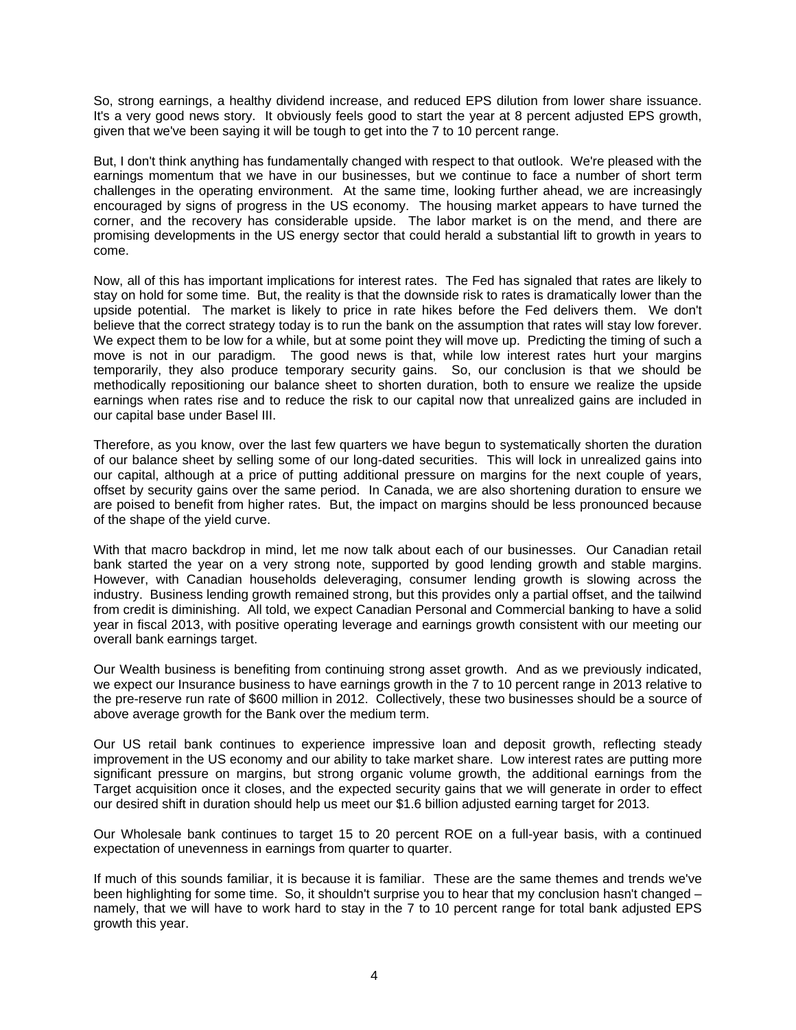So, strong earnings, a healthy dividend increase, and reduced EPS dilution from lower share issuance. It's a very good news story. It obviously feels good to start the year at 8 percent adjusted EPS growth, given that we've been saying it will be tough to get into the 7 to 10 percent range.

But, I don't think anything has fundamentally changed with respect to that outlook. We're pleased with the earnings momentum that we have in our businesses, but we continue to face a number of short term challenges in the operating environment. At the same time, looking further ahead, we are increasingly encouraged by signs of progress in the US economy. The housing market appears to have turned the corner, and the recovery has considerable upside. The labor market is on the mend, and there are promising developments in the US energy sector that could herald a substantial lift to growth in years to come.

Now, all of this has important implications for interest rates. The Fed has signaled that rates are likely to stay on hold for some time. But, the reality is that the downside risk to rates is dramatically lower than the upside potential. The market is likely to price in rate hikes before the Fed delivers them. We don't believe that the correct strategy today is to run the bank on the assumption that rates will stay low forever. We expect them to be low for a while, but at some point they will move up. Predicting the timing of such a move is not in our paradigm. The good news is that, while low interest rates hurt your margins temporarily, they also produce temporary security gains. So, our conclusion is that we should be methodically repositioning our balance sheet to shorten duration, both to ensure we realize the upside earnings when rates rise and to reduce the risk to our capital now that unrealized gains are included in our capital base under Basel III.

Therefore, as you know, over the last few quarters we have begun to systematically shorten the duration of our balance sheet by selling some of our long-dated securities. This will lock in unrealized gains into our capital, although at a price of putting additional pressure on margins for the next couple of years, offset by security gains over the same period. In Canada, we are also shortening duration to ensure we are poised to benefit from higher rates. But, the impact on margins should be less pronounced because of the shape of the yield curve.

With that macro backdrop in mind, let me now talk about each of our businesses. Our Canadian retail bank started the year on a very strong note, supported by good lending growth and stable margins. However, with Canadian households deleveraging, consumer lending growth is slowing across the industry. Business lending growth remained strong, but this provides only a partial offset, and the tailwind from credit is diminishing. All told, we expect Canadian Personal and Commercial banking to have a solid year in fiscal 2013, with positive operating leverage and earnings growth consistent with our meeting our overall bank earnings target.

Our Wealth business is benefiting from continuing strong asset growth. And as we previously indicated, we expect our Insurance business to have earnings growth in the 7 to 10 percent range in 2013 relative to the pre-reserve run rate of \$600 million in 2012. Collectively, these two businesses should be a source of above average growth for the Bank over the medium term.

Our US retail bank continues to experience impressive loan and deposit growth, reflecting steady improvement in the US economy and our ability to take market share. Low interest rates are putting more significant pressure on margins, but strong organic volume growth, the additional earnings from the Target acquisition once it closes, and the expected security gains that we will generate in order to effect our desired shift in duration should help us meet our \$1.6 billion adjusted earning target for 2013.

Our Wholesale bank continues to target 15 to 20 percent ROE on a full-year basis, with a continued expectation of unevenness in earnings from quarter to quarter.

If much of this sounds familiar, it is because it is familiar. These are the same themes and trends we've been highlighting for some time. So, it shouldn't surprise you to hear that my conclusion hasn't changed namely, that we will have to work hard to stay in the 7 to 10 percent range for total bank adjusted EPS growth this year.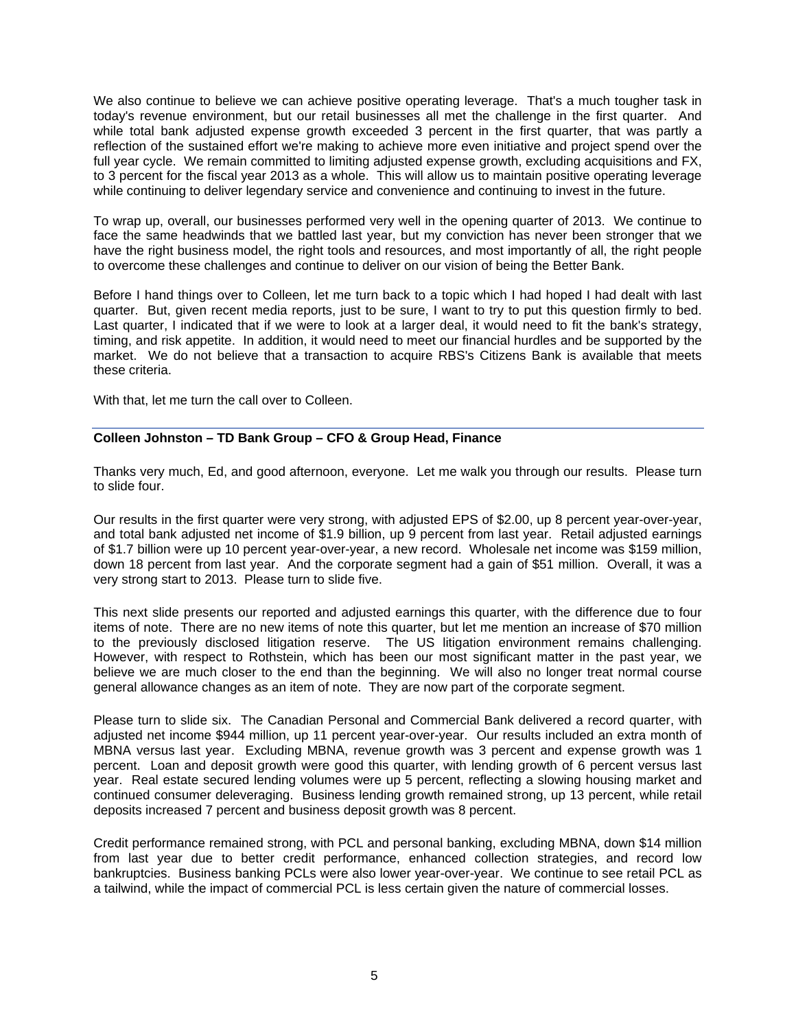We also continue to believe we can achieve positive operating leverage. That's a much tougher task in today's revenue environment, but our retail businesses all met the challenge in the first quarter. And while total bank adjusted expense growth exceeded 3 percent in the first quarter, that was partly a reflection of the sustained effort we're making to achieve more even initiative and project spend over the full year cycle. We remain committed to limiting adjusted expense growth, excluding acquisitions and FX, to 3 percent for the fiscal year 2013 as a whole. This will allow us to maintain positive operating leverage while continuing to deliver legendary service and convenience and continuing to invest in the future.

To wrap up, overall, our businesses performed very well in the opening quarter of 2013. We continue to face the same headwinds that we battled last year, but my conviction has never been stronger that we have the right business model, the right tools and resources, and most importantly of all, the right people to overcome these challenges and continue to deliver on our vision of being the Better Bank.

Before I hand things over to Colleen, let me turn back to a topic which I had hoped I had dealt with last quarter. But, given recent media reports, just to be sure, I want to try to put this question firmly to bed. Last quarter, I indicated that if we were to look at a larger deal, it would need to fit the bank's strategy, timing, and risk appetite. In addition, it would need to meet our financial hurdles and be supported by the market. We do not believe that a transaction to acquire RBS's Citizens Bank is available that meets these criteria.

With that, let me turn the call over to Colleen.

# **Colleen Johnston – TD Bank Group – CFO & Group Head, Finance**

Thanks very much, Ed, and good afternoon, everyone. Let me walk you through our results. Please turn to slide four.

Our results in the first quarter were very strong, with adjusted EPS of \$2.00, up 8 percent year-over-year, and total bank adjusted net income of \$1.9 billion, up 9 percent from last year. Retail adjusted earnings of \$1.7 billion were up 10 percent year-over-year, a new record. Wholesale net income was \$159 million, down 18 percent from last year. And the corporate segment had a gain of \$51 million. Overall, it was a very strong start to 2013. Please turn to slide five.

This next slide presents our reported and adjusted earnings this quarter, with the difference due to four items of note. There are no new items of note this quarter, but let me mention an increase of \$70 million to the previously disclosed litigation reserve. The US litigation environment remains challenging. However, with respect to Rothstein, which has been our most significant matter in the past year, we believe we are much closer to the end than the beginning. We will also no longer treat normal course general allowance changes as an item of note. They are now part of the corporate segment.

Please turn to slide six. The Canadian Personal and Commercial Bank delivered a record quarter, with adjusted net income \$944 million, up 11 percent year-over-year. Our results included an extra month of MBNA versus last year. Excluding MBNA, revenue growth was 3 percent and expense growth was 1 percent. Loan and deposit growth were good this quarter, with lending growth of 6 percent versus last year. Real estate secured lending volumes were up 5 percent, reflecting a slowing housing market and continued consumer deleveraging. Business lending growth remained strong, up 13 percent, while retail deposits increased 7 percent and business deposit growth was 8 percent.

Credit performance remained strong, with PCL and personal banking, excluding MBNA, down \$14 million from last year due to better credit performance, enhanced collection strategies, and record low bankruptcies. Business banking PCLs were also lower year-over-year. We continue to see retail PCL as a tailwind, while the impact of commercial PCL is less certain given the nature of commercial losses.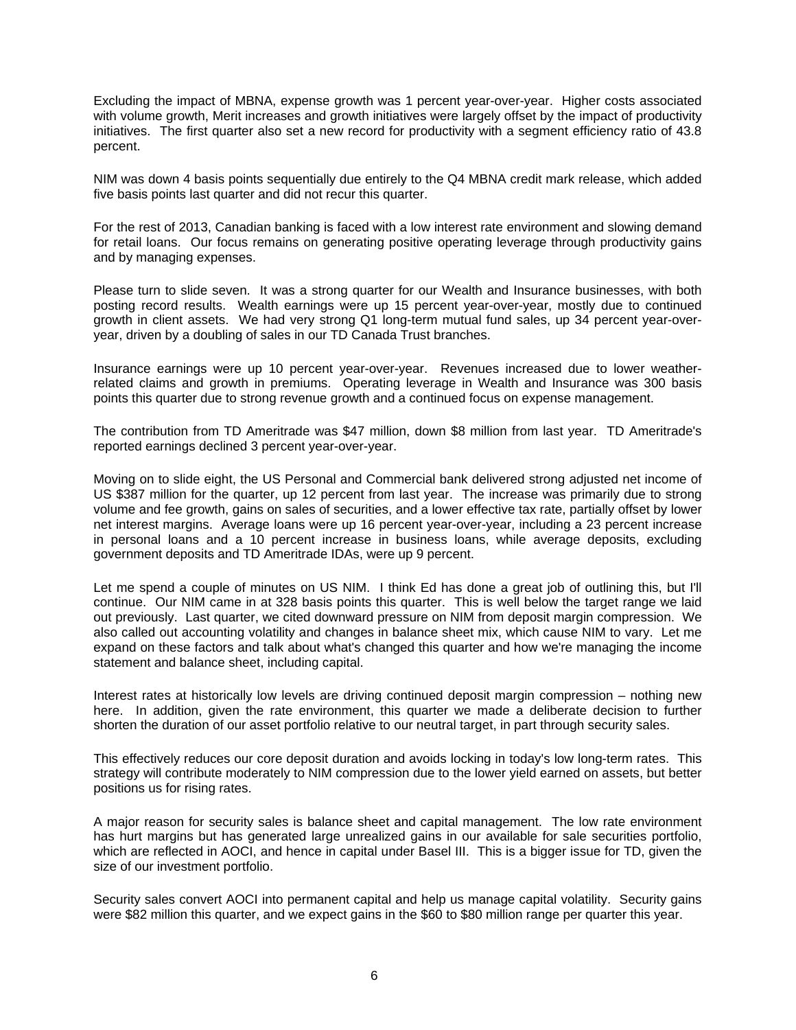Excluding the impact of MBNA, expense growth was 1 percent year-over-year. Higher costs associated with volume growth, Merit increases and growth initiatives were largely offset by the impact of productivity initiatives. The first quarter also set a new record for productivity with a segment efficiency ratio of 43.8 percent.

NIM was down 4 basis points sequentially due entirely to the Q4 MBNA credit mark release, which added five basis points last quarter and did not recur this quarter.

For the rest of 2013, Canadian banking is faced with a low interest rate environment and slowing demand for retail loans. Our focus remains on generating positive operating leverage through productivity gains and by managing expenses.

Please turn to slide seven. It was a strong quarter for our Wealth and Insurance businesses, with both posting record results. Wealth earnings were up 15 percent year-over-year, mostly due to continued growth in client assets. We had very strong Q1 long-term mutual fund sales, up 34 percent year-overyear, driven by a doubling of sales in our TD Canada Trust branches.

Insurance earnings were up 10 percent year-over-year. Revenues increased due to lower weatherrelated claims and growth in premiums. Operating leverage in Wealth and Insurance was 300 basis points this quarter due to strong revenue growth and a continued focus on expense management.

The contribution from TD Ameritrade was \$47 million, down \$8 million from last year. TD Ameritrade's reported earnings declined 3 percent year-over-year.

Moving on to slide eight, the US Personal and Commercial bank delivered strong adjusted net income of US \$387 million for the quarter, up 12 percent from last year. The increase was primarily due to strong volume and fee growth, gains on sales of securities, and a lower effective tax rate, partially offset by lower net interest margins. Average loans were up 16 percent year-over-year, including a 23 percent increase in personal loans and a 10 percent increase in business loans, while average deposits, excluding government deposits and TD Ameritrade IDAs, were up 9 percent.

Let me spend a couple of minutes on US NIM. I think Ed has done a great job of outlining this, but I'll continue. Our NIM came in at 328 basis points this quarter. This is well below the target range we laid out previously. Last quarter, we cited downward pressure on NIM from deposit margin compression. We also called out accounting volatility and changes in balance sheet mix, which cause NIM to vary. Let me expand on these factors and talk about what's changed this quarter and how we're managing the income statement and balance sheet, including capital.

Interest rates at historically low levels are driving continued deposit margin compression – nothing new here. In addition, given the rate environment, this quarter we made a deliberate decision to further shorten the duration of our asset portfolio relative to our neutral target, in part through security sales.

This effectively reduces our core deposit duration and avoids locking in today's low long-term rates. This strategy will contribute moderately to NIM compression due to the lower yield earned on assets, but better positions us for rising rates.

A major reason for security sales is balance sheet and capital management. The low rate environment has hurt margins but has generated large unrealized gains in our available for sale securities portfolio, which are reflected in AOCI, and hence in capital under Basel III. This is a bigger issue for TD, given the size of our investment portfolio.

Security sales convert AOCI into permanent capital and help us manage capital volatility. Security gains were \$82 million this quarter, and we expect gains in the \$60 to \$80 million range per quarter this year.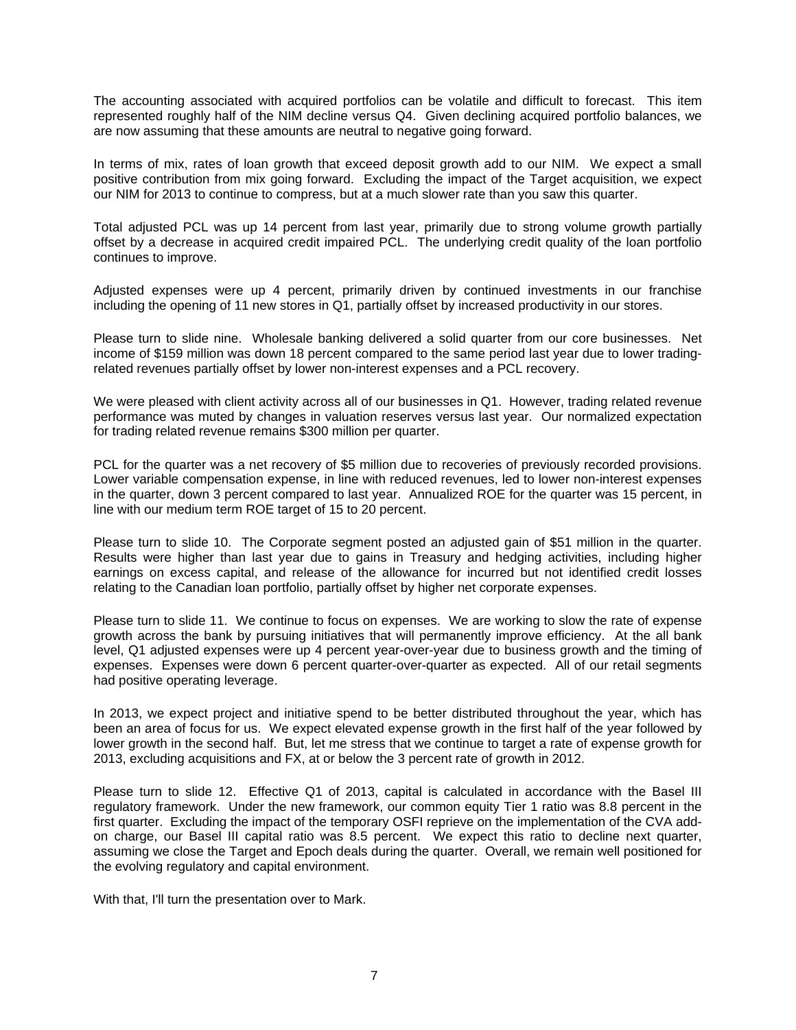The accounting associated with acquired portfolios can be volatile and difficult to forecast. This item represented roughly half of the NIM decline versus Q4. Given declining acquired portfolio balances, we are now assuming that these amounts are neutral to negative going forward.

In terms of mix, rates of loan growth that exceed deposit growth add to our NIM. We expect a small positive contribution from mix going forward. Excluding the impact of the Target acquisition, we expect our NIM for 2013 to continue to compress, but at a much slower rate than you saw this quarter.

Total adjusted PCL was up 14 percent from last year, primarily due to strong volume growth partially offset by a decrease in acquired credit impaired PCL. The underlying credit quality of the loan portfolio continues to improve.

Adjusted expenses were up 4 percent, primarily driven by continued investments in our franchise including the opening of 11 new stores in Q1, partially offset by increased productivity in our stores.

Please turn to slide nine. Wholesale banking delivered a solid quarter from our core businesses. Net income of \$159 million was down 18 percent compared to the same period last year due to lower tradingrelated revenues partially offset by lower non-interest expenses and a PCL recovery.

We were pleased with client activity across all of our businesses in Q1. However, trading related revenue performance was muted by changes in valuation reserves versus last year. Our normalized expectation for trading related revenue remains \$300 million per quarter.

PCL for the quarter was a net recovery of \$5 million due to recoveries of previously recorded provisions. Lower variable compensation expense, in line with reduced revenues, led to lower non-interest expenses in the quarter, down 3 percent compared to last year. Annualized ROE for the quarter was 15 percent, in line with our medium term ROE target of 15 to 20 percent.

Please turn to slide 10. The Corporate segment posted an adjusted gain of \$51 million in the quarter. Results were higher than last year due to gains in Treasury and hedging activities, including higher earnings on excess capital, and release of the allowance for incurred but not identified credit losses relating to the Canadian loan portfolio, partially offset by higher net corporate expenses.

Please turn to slide 11. We continue to focus on expenses. We are working to slow the rate of expense growth across the bank by pursuing initiatives that will permanently improve efficiency. At the all bank level, Q1 adjusted expenses were up 4 percent year-over-year due to business growth and the timing of expenses. Expenses were down 6 percent quarter-over-quarter as expected. All of our retail segments had positive operating leverage.

In 2013, we expect project and initiative spend to be better distributed throughout the year, which has been an area of focus for us. We expect elevated expense growth in the first half of the year followed by lower growth in the second half. But, let me stress that we continue to target a rate of expense growth for 2013, excluding acquisitions and FX, at or below the 3 percent rate of growth in 2012.

Please turn to slide 12. Effective Q1 of 2013, capital is calculated in accordance with the Basel III regulatory framework. Under the new framework, our common equity Tier 1 ratio was 8.8 percent in the first quarter. Excluding the impact of the temporary OSFI reprieve on the implementation of the CVA addon charge, our Basel III capital ratio was 8.5 percent. We expect this ratio to decline next quarter, assuming we close the Target and Epoch deals during the quarter. Overall, we remain well positioned for the evolving regulatory and capital environment.

With that, I'll turn the presentation over to Mark.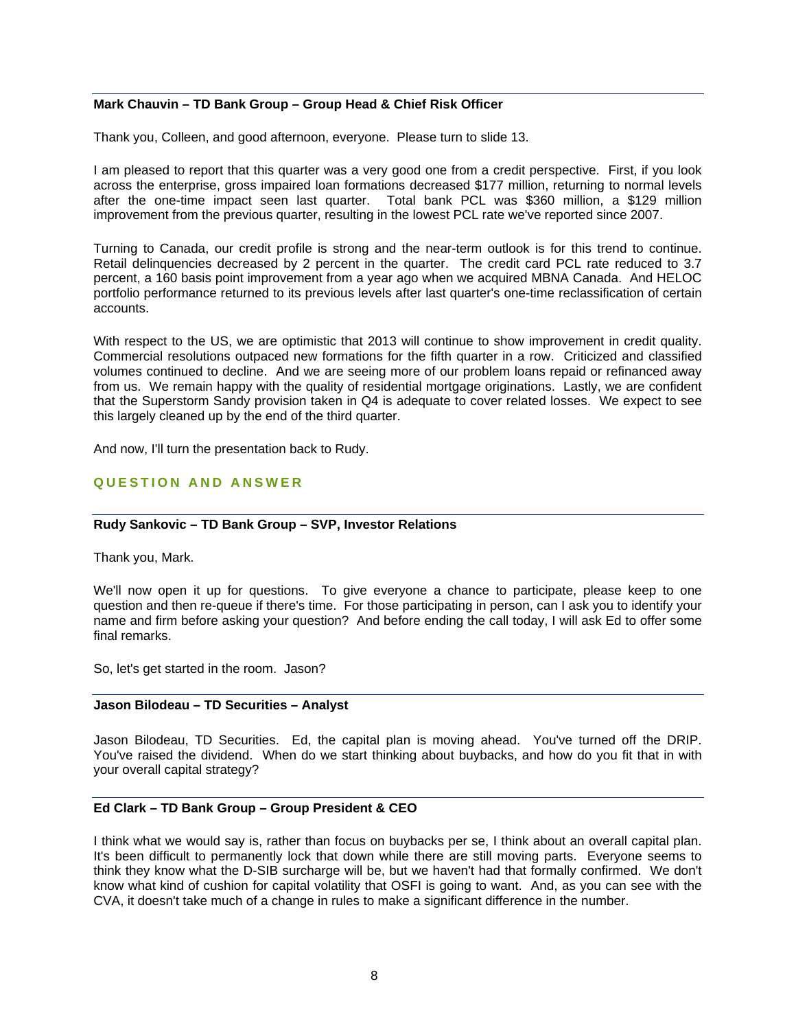# **Mark Chauvin – TD Bank Group – Group Head & Chief Risk Officer**

Thank you, Colleen, and good afternoon, everyone. Please turn to slide 13.

I am pleased to report that this quarter was a very good one from a credit perspective. First, if you look across the enterprise, gross impaired loan formations decreased \$177 million, returning to normal levels after the one-time impact seen last quarter. Total bank PCL was \$360 million, a \$129 million improvement from the previous quarter, resulting in the lowest PCL rate we've reported since 2007.

Turning to Canada, our credit profile is strong and the near-term outlook is for this trend to continue. Retail delinquencies decreased by 2 percent in the quarter. The credit card PCL rate reduced to 3.7 percent, a 160 basis point improvement from a year ago when we acquired MBNA Canada. And HELOC portfolio performance returned to its previous levels after last quarter's one-time reclassification of certain accounts.

With respect to the US, we are optimistic that 2013 will continue to show improvement in credit quality. Commercial resolutions outpaced new formations for the fifth quarter in a row. Criticized and classified volumes continued to decline. And we are seeing more of our problem loans repaid or refinanced away from us. We remain happy with the quality of residential mortgage originations. Lastly, we are confident that the Superstorm Sandy provision taken in Q4 is adequate to cover related losses. We expect to see this largely cleaned up by the end of the third quarter.

And now, I'll turn the presentation back to Rudy.

# **QUESTION AND ANSWER**

# **Rudy Sankovic – TD Bank Group – SVP, Investor Relations**

Thank you, Mark.

We'll now open it up for questions. To give everyone a chance to participate, please keep to one question and then re-queue if there's time. For those participating in person, can I ask you to identify your name and firm before asking your question? And before ending the call today, I will ask Ed to offer some final remarks.

So, let's get started in the room. Jason?

### **Jason Bilodeau – TD Securities – Analyst**

Jason Bilodeau, TD Securities. Ed, the capital plan is moving ahead. You've turned off the DRIP. You've raised the dividend. When do we start thinking about buybacks, and how do you fit that in with your overall capital strategy?

# **Ed Clark – TD Bank Group – Group President & CEO**

I think what we would say is, rather than focus on buybacks per se, I think about an overall capital plan. It's been difficult to permanently lock that down while there are still moving parts. Everyone seems to think they know what the D-SIB surcharge will be, but we haven't had that formally confirmed. We don't know what kind of cushion for capital volatility that OSFI is going to want. And, as you can see with the CVA, it doesn't take much of a change in rules to make a significant difference in the number.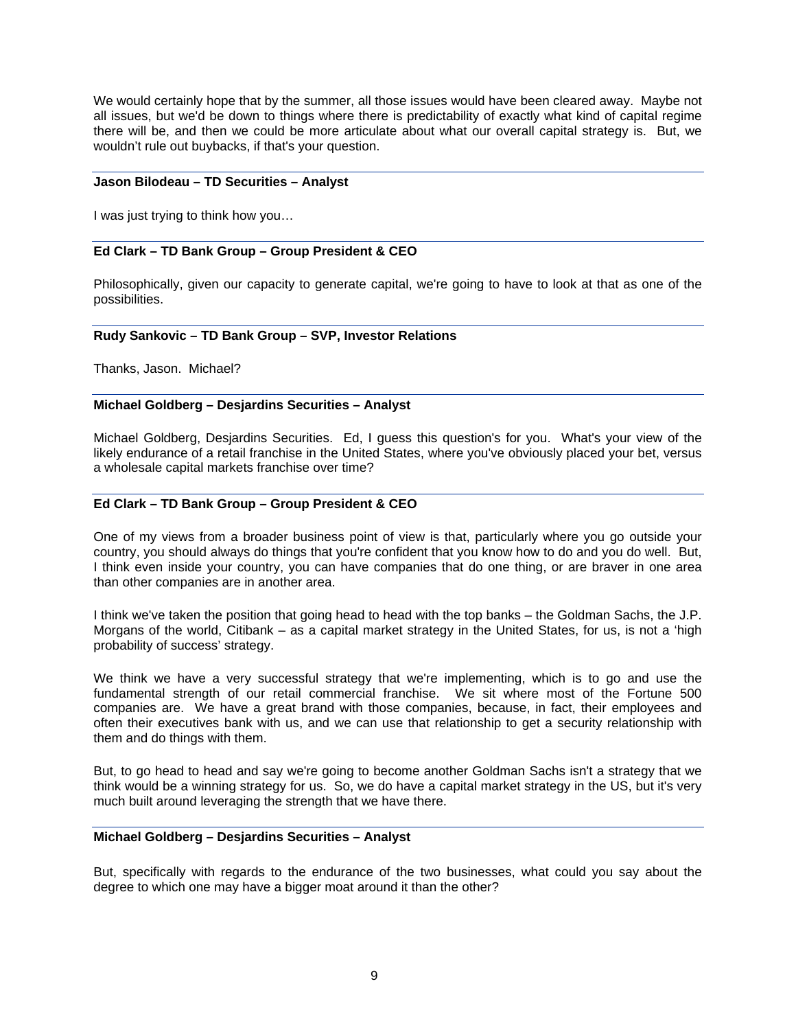We would certainly hope that by the summer, all those issues would have been cleared away. Maybe not all issues, but we'd be down to things where there is predictability of exactly what kind of capital regime there will be, and then we could be more articulate about what our overall capital strategy is. But, we wouldn't rule out buybacks, if that's your question.

### **Jason Bilodeau – TD Securities – Analyst**

I was just trying to think how you…

### **Ed Clark – TD Bank Group – Group President & CEO**

Philosophically, given our capacity to generate capital, we're going to have to look at that as one of the possibilities.

### **Rudy Sankovic – TD Bank Group – SVP, Investor Relations**

Thanks, Jason. Michael?

### **Michael Goldberg – Desjardins Securities – Analyst**

Michael Goldberg, Desjardins Securities. Ed, I guess this question's for you. What's your view of the likely endurance of a retail franchise in the United States, where you've obviously placed your bet, versus a wholesale capital markets franchise over time?

# **Ed Clark – TD Bank Group – Group President & CEO**

One of my views from a broader business point of view is that, particularly where you go outside your country, you should always do things that you're confident that you know how to do and you do well. But, I think even inside your country, you can have companies that do one thing, or are braver in one area than other companies are in another area.

I think we've taken the position that going head to head with the top banks – the Goldman Sachs, the J.P. Morgans of the world, Citibank – as a capital market strategy in the United States, for us, is not a 'high probability of success' strategy.

We think we have a very successful strategy that we're implementing, which is to go and use the fundamental strength of our retail commercial franchise. We sit where most of the Fortune 500 companies are. We have a great brand with those companies, because, in fact, their employees and often their executives bank with us, and we can use that relationship to get a security relationship with them and do things with them.

But, to go head to head and say we're going to become another Goldman Sachs isn't a strategy that we think would be a winning strategy for us. So, we do have a capital market strategy in the US, but it's very much built around leveraging the strength that we have there.

### **Michael Goldberg – Desjardins Securities – Analyst**

But, specifically with regards to the endurance of the two businesses, what could you say about the degree to which one may have a bigger moat around it than the other?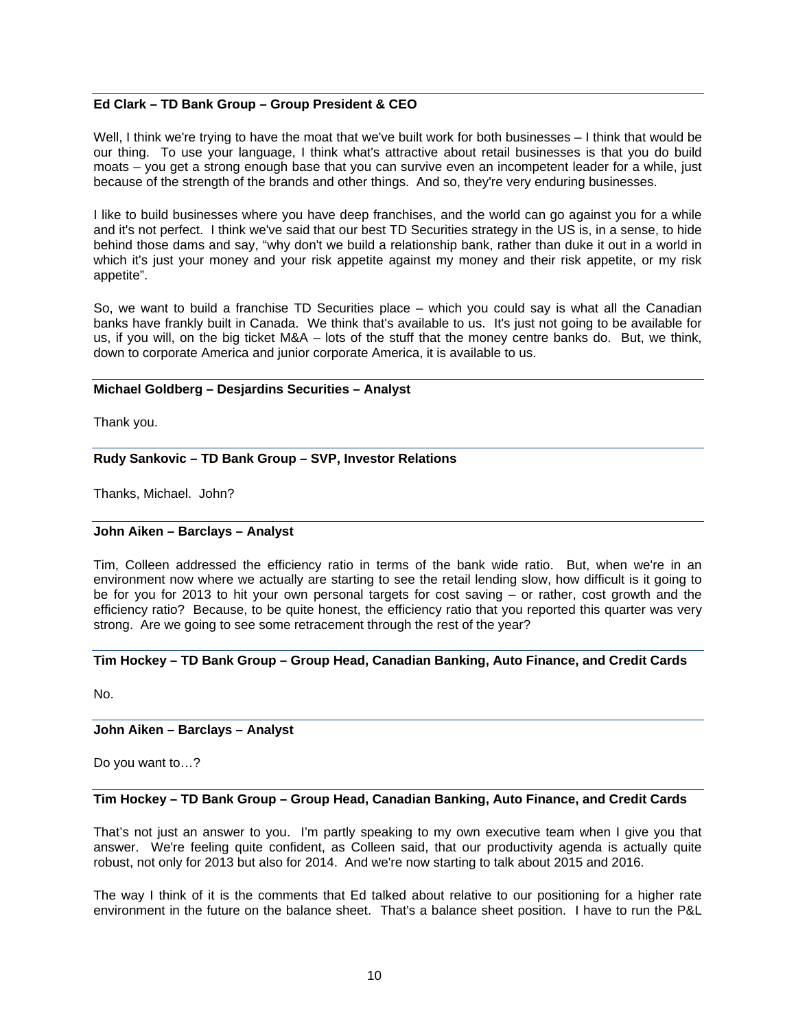# **Ed Clark – TD Bank Group – Group President & CEO**

Well, I think we're trying to have the moat that we've built work for both businesses – I think that would be our thing. To use your language, I think what's attractive about retail businesses is that you do build moats – you get a strong enough base that you can survive even an incompetent leader for a while, just because of the strength of the brands and other things. And so, they're very enduring businesses.

I like to build businesses where you have deep franchises, and the world can go against you for a while and it's not perfect. I think we've said that our best TD Securities strategy in the US is, in a sense, to hide behind those dams and say, "why don't we build a relationship bank, rather than duke it out in a world in which it's just your money and your risk appetite against my money and their risk appetite, or my risk appetite".

So, we want to build a franchise TD Securities place – which you could say is what all the Canadian banks have frankly built in Canada. We think that's available to us. It's just not going to be available for us, if you will, on the big ticket M&A – lots of the stuff that the money centre banks do. But, we think, down to corporate America and junior corporate America, it is available to us.

# **Michael Goldberg – Desjardins Securities – Analyst**

Thank you.

# **Rudy Sankovic – TD Bank Group – SVP, Investor Relations**

Thanks, Michael. John?

# **John Aiken – Barclays – Analyst**

Tim, Colleen addressed the efficiency ratio in terms of the bank wide ratio. But, when we're in an environment now where we actually are starting to see the retail lending slow, how difficult is it going to be for you for 2013 to hit your own personal targets for cost saving – or rather, cost growth and the efficiency ratio? Because, to be quite honest, the efficiency ratio that you reported this quarter was very strong. Are we going to see some retracement through the rest of the year?

### **Tim Hockey – TD Bank Group – Group Head, Canadian Banking, Auto Finance, and Credit Cards**

No.

### **John Aiken – Barclays – Analyst**

Do you want to…?

### **Tim Hockey – TD Bank Group – Group Head, Canadian Banking, Auto Finance, and Credit Cards**

That's not just an answer to you. I'm partly speaking to my own executive team when I give you that answer. We're feeling quite confident, as Colleen said, that our productivity agenda is actually quite robust, not only for 2013 but also for 2014. And we're now starting to talk about 2015 and 2016.

The way I think of it is the comments that Ed talked about relative to our positioning for a higher rate environment in the future on the balance sheet. That's a balance sheet position. I have to run the P&L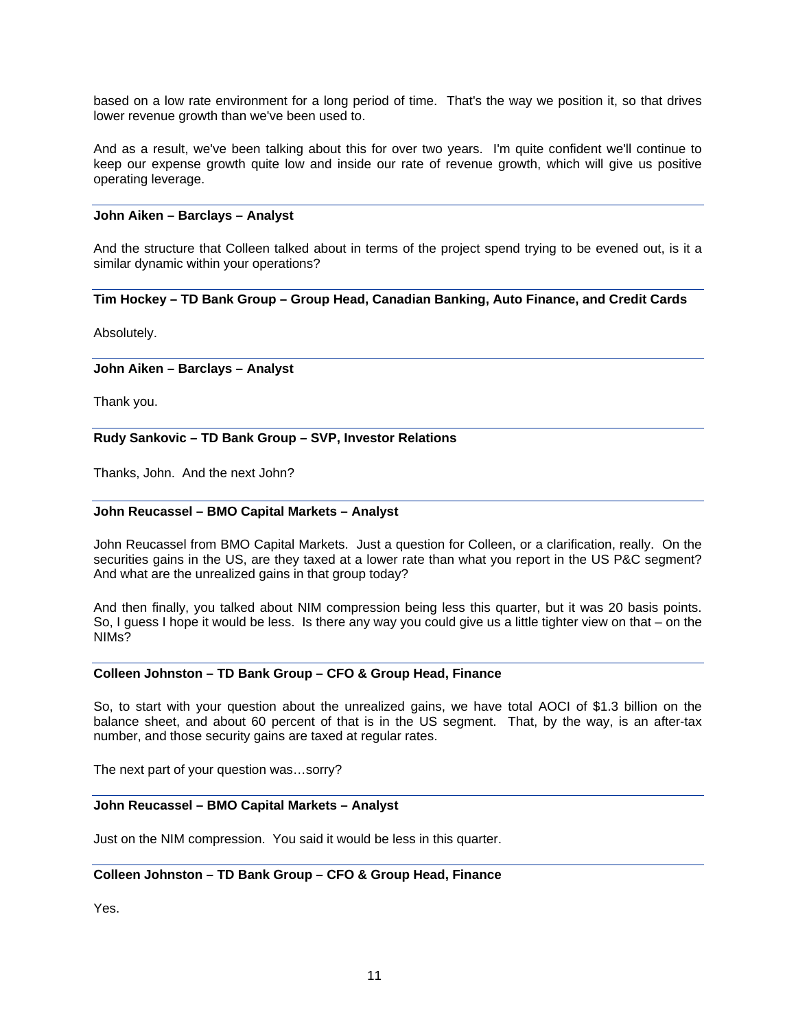based on a low rate environment for a long period of time. That's the way we position it, so that drives lower revenue growth than we've been used to.

And as a result, we've been talking about this for over two years. I'm quite confident we'll continue to keep our expense growth quite low and inside our rate of revenue growth, which will give us positive operating leverage.

### **John Aiken – Barclays – Analyst**

And the structure that Colleen talked about in terms of the project spend trying to be evened out, is it a similar dynamic within your operations?

### **Tim Hockey – TD Bank Group – Group Head, Canadian Banking, Auto Finance, and Credit Cards**

Absolutely.

### **John Aiken – Barclays – Analyst**

Thank you.

# **Rudy Sankovic – TD Bank Group – SVP, Investor Relations**

Thanks, John. And the next John?

### **John Reucassel – BMO Capital Markets – Analyst**

John Reucassel from BMO Capital Markets. Just a question for Colleen, or a clarification, really. On the securities gains in the US, are they taxed at a lower rate than what you report in the US P&C segment? And what are the unrealized gains in that group today?

And then finally, you talked about NIM compression being less this quarter, but it was 20 basis points. So, I guess I hope it would be less. Is there any way you could give us a little tighter view on that – on the NIMs?

# **Colleen Johnston – TD Bank Group – CFO & Group Head, Finance**

So, to start with your question about the unrealized gains, we have total AOCI of \$1.3 billion on the balance sheet, and about 60 percent of that is in the US segment. That, by the way, is an after-tax number, and those security gains are taxed at regular rates.

The next part of your question was…sorry?

### **John Reucassel – BMO Capital Markets – Analyst**

Just on the NIM compression. You said it would be less in this quarter.

### **Colleen Johnston – TD Bank Group – CFO & Group Head, Finance**

Yes.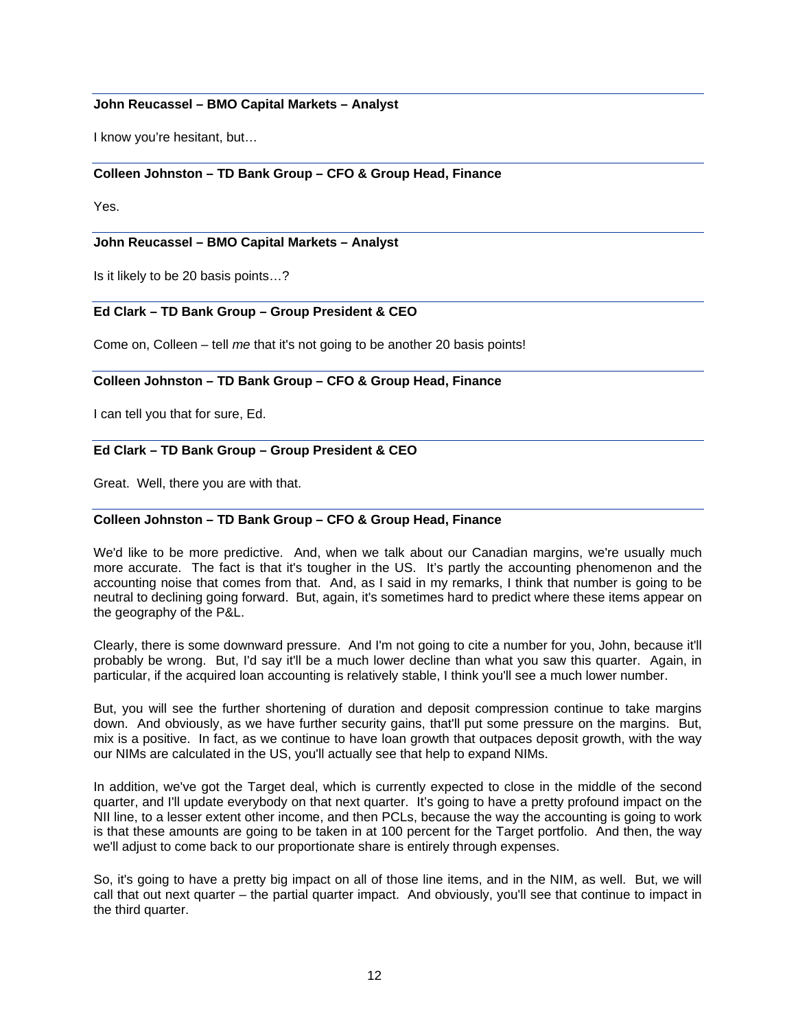# **John Reucassel – BMO Capital Markets – Analyst**

I know you're hesitant, but…

# **Colleen Johnston – TD Bank Group – CFO & Group Head, Finance**

Yes.

# **John Reucassel – BMO Capital Markets – Analyst**

Is it likely to be 20 basis points…?

# **Ed Clark – TD Bank Group – Group President & CEO**

Come on, Colleen – tell *me* that it's not going to be another 20 basis points!

### **Colleen Johnston – TD Bank Group – CFO & Group Head, Finance**

I can tell you that for sure, Ed.

# **Ed Clark – TD Bank Group – Group President & CEO**

Great. Well, there you are with that.

# **Colleen Johnston – TD Bank Group – CFO & Group Head, Finance**

We'd like to be more predictive. And, when we talk about our Canadian margins, we're usually much more accurate. The fact is that it's tougher in the US. It's partly the accounting phenomenon and the accounting noise that comes from that. And, as I said in my remarks, I think that number is going to be neutral to declining going forward. But, again, it's sometimes hard to predict where these items appear on the geography of the P&L.

Clearly, there is some downward pressure. And I'm not going to cite a number for you, John, because it'll probably be wrong. But, I'd say it'll be a much lower decline than what you saw this quarter. Again, in particular, if the acquired loan accounting is relatively stable, I think you'll see a much lower number.

But, you will see the further shortening of duration and deposit compression continue to take margins down. And obviously, as we have further security gains, that'll put some pressure on the margins. But, mix is a positive. In fact, as we continue to have loan growth that outpaces deposit growth, with the way our NIMs are calculated in the US, you'll actually see that help to expand NIMs.

In addition, we've got the Target deal, which is currently expected to close in the middle of the second quarter, and I'll update everybody on that next quarter. It's going to have a pretty profound impact on the NII line, to a lesser extent other income, and then PCLs, because the way the accounting is going to work is that these amounts are going to be taken in at 100 percent for the Target portfolio. And then, the way we'll adjust to come back to our proportionate share is entirely through expenses.

So, it's going to have a pretty big impact on all of those line items, and in the NIM, as well. But, we will call that out next quarter – the partial quarter impact. And obviously, you'll see that continue to impact in the third quarter.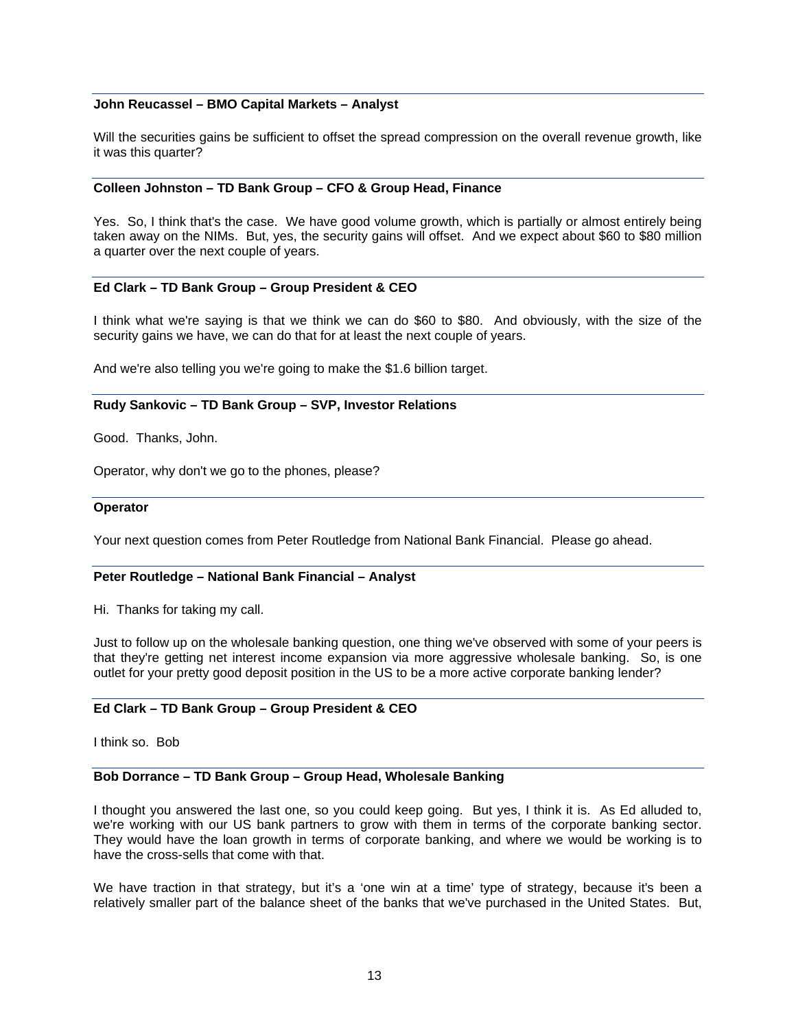# **John Reucassel – BMO Capital Markets – Analyst**

Will the securities gains be sufficient to offset the spread compression on the overall revenue growth, like it was this quarter?

### **Colleen Johnston – TD Bank Group – CFO & Group Head, Finance**

Yes. So, I think that's the case. We have good volume growth, which is partially or almost entirely being taken away on the NIMs. But, yes, the security gains will offset. And we expect about \$60 to \$80 million a quarter over the next couple of years.

# **Ed Clark – TD Bank Group – Group President & CEO**

I think what we're saying is that we think we can do \$60 to \$80. And obviously, with the size of the security gains we have, we can do that for at least the next couple of years.

And we're also telling you we're going to make the \$1.6 billion target.

### **Rudy Sankovic – TD Bank Group – SVP, Investor Relations**

Good. Thanks, John.

Operator, why don't we go to the phones, please?

### **Operator**

Your next question comes from Peter Routledge from National Bank Financial. Please go ahead.

### **Peter Routledge – National Bank Financial – Analyst**

Hi. Thanks for taking my call.

Just to follow up on the wholesale banking question, one thing we've observed with some of your peers is that they're getting net interest income expansion via more aggressive wholesale banking. So, is one outlet for your pretty good deposit position in the US to be a more active corporate banking lender?

### **Ed Clark – TD Bank Group – Group President & CEO**

I think so. Bob

### **Bob Dorrance – TD Bank Group – Group Head, Wholesale Banking**

I thought you answered the last one, so you could keep going. But yes, I think it is. As Ed alluded to, we're working with our US bank partners to grow with them in terms of the corporate banking sector. They would have the loan growth in terms of corporate banking, and where we would be working is to have the cross-sells that come with that.

We have traction in that strategy, but it's a 'one win at a time' type of strategy, because it's been a relatively smaller part of the balance sheet of the banks that we've purchased in the United States. But,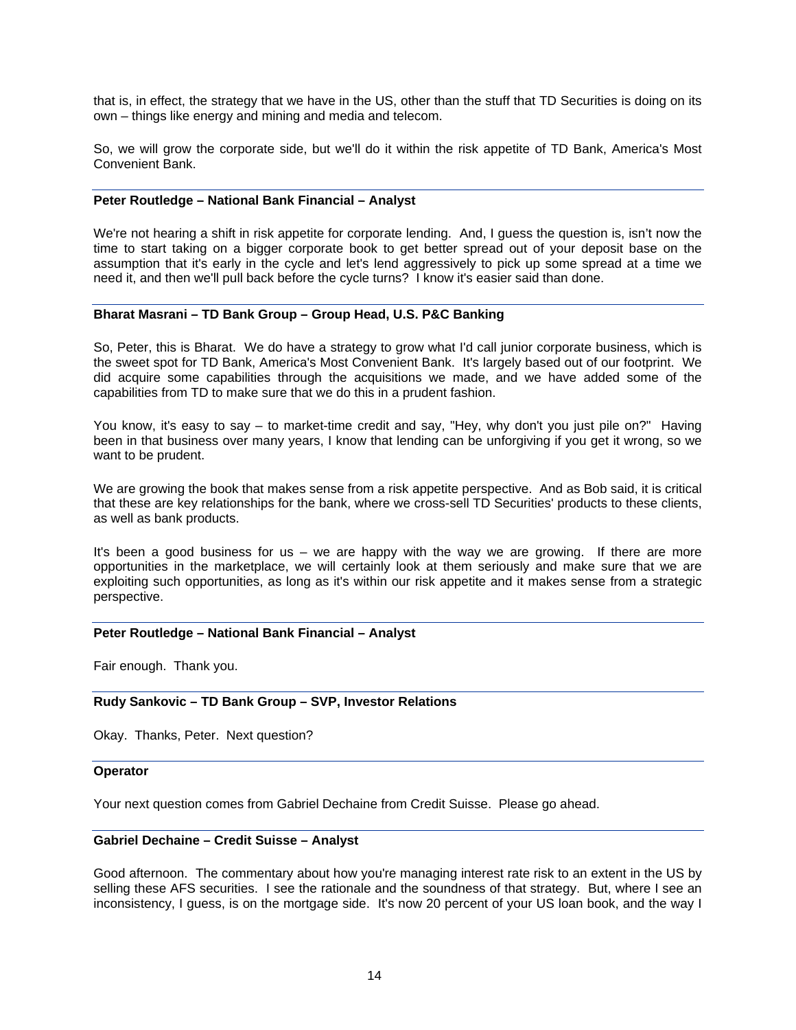that is, in effect, the strategy that we have in the US, other than the stuff that TD Securities is doing on its own – things like energy and mining and media and telecom.

So, we will grow the corporate side, but we'll do it within the risk appetite of TD Bank, America's Most Convenient Bank.

# **Peter Routledge – National Bank Financial – Analyst**

We're not hearing a shift in risk appetite for corporate lending. And, I guess the question is, isn't now the time to start taking on a bigger corporate book to get better spread out of your deposit base on the assumption that it's early in the cycle and let's lend aggressively to pick up some spread at a time we need it, and then we'll pull back before the cycle turns? I know it's easier said than done.

# **Bharat Masrani – TD Bank Group – Group Head, U.S. P&C Banking**

So, Peter, this is Bharat. We do have a strategy to grow what I'd call junior corporate business, which is the sweet spot for TD Bank, America's Most Convenient Bank. It's largely based out of our footprint. We did acquire some capabilities through the acquisitions we made, and we have added some of the capabilities from TD to make sure that we do this in a prudent fashion.

You know, it's easy to say – to market-time credit and say, "Hey, why don't you just pile on?" Having been in that business over many years, I know that lending can be unforgiving if you get it wrong, so we want to be prudent.

We are growing the book that makes sense from a risk appetite perspective. And as Bob said, it is critical that these are key relationships for the bank, where we cross-sell TD Securities' products to these clients, as well as bank products.

It's been a good business for us – we are happy with the way we are growing. If there are more opportunities in the marketplace, we will certainly look at them seriously and make sure that we are exploiting such opportunities, as long as it's within our risk appetite and it makes sense from a strategic perspective.

# **Peter Routledge – National Bank Financial – Analyst**

Fair enough. Thank you.

# **Rudy Sankovic – TD Bank Group – SVP, Investor Relations**

Okay. Thanks, Peter. Next question?

### **Operator**

Your next question comes from Gabriel Dechaine from Credit Suisse. Please go ahead.

### **Gabriel Dechaine – Credit Suisse – Analyst**

Good afternoon. The commentary about how you're managing interest rate risk to an extent in the US by selling these AFS securities. I see the rationale and the soundness of that strategy. But, where I see an inconsistency, I guess, is on the mortgage side. It's now 20 percent of your US loan book, and the way I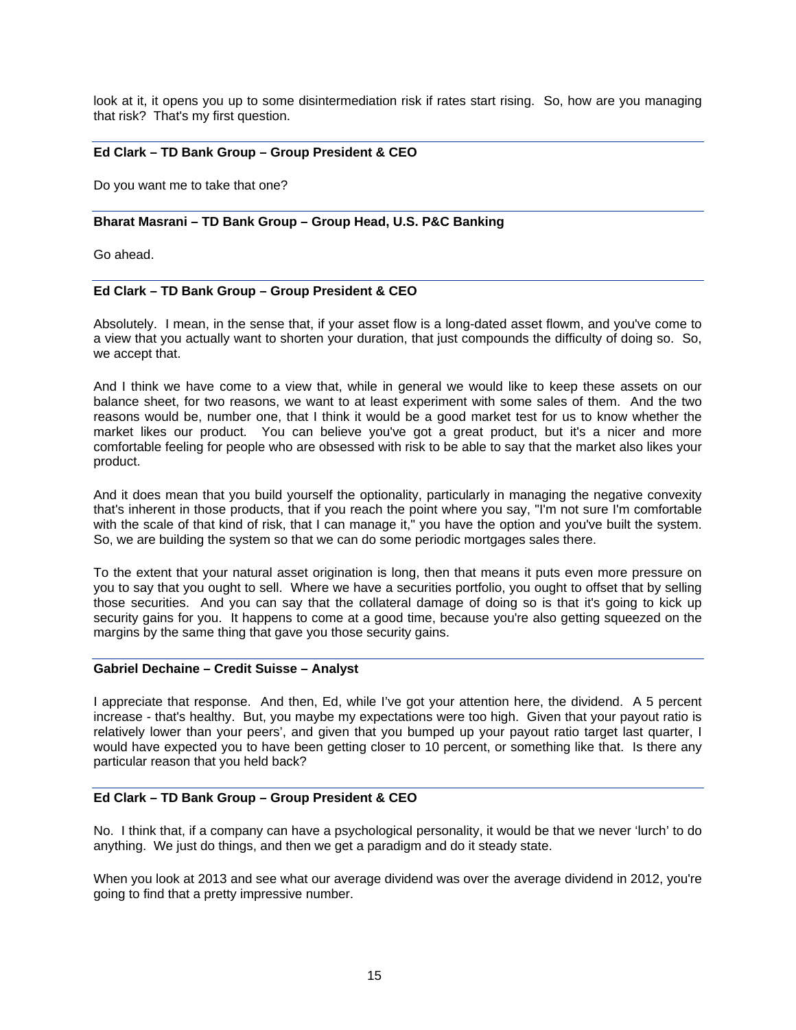look at it, it opens you up to some disintermediation risk if rates start rising. So, how are you managing that risk? That's my first question.

# **Ed Clark – TD Bank Group – Group President & CEO**

Do you want me to take that one?

# **Bharat Masrani – TD Bank Group – Group Head, U.S. P&C Banking**

Go ahead.

### **Ed Clark – TD Bank Group – Group President & CEO**

Absolutely. I mean, in the sense that, if your asset flow is a long-dated asset flowm, and you've come to a view that you actually want to shorten your duration, that just compounds the difficulty of doing so. So, we accept that.

And I think we have come to a view that, while in general we would like to keep these assets on our balance sheet, for two reasons, we want to at least experiment with some sales of them. And the two reasons would be, number one, that I think it would be a good market test for us to know whether the market likes our product. You can believe you've got a great product, but it's a nicer and more comfortable feeling for people who are obsessed with risk to be able to say that the market also likes your product.

And it does mean that you build yourself the optionality, particularly in managing the negative convexity that's inherent in those products, that if you reach the point where you say, "I'm not sure I'm comfortable with the scale of that kind of risk, that I can manage it," you have the option and you've built the system. So, we are building the system so that we can do some periodic mortgages sales there.

To the extent that your natural asset origination is long, then that means it puts even more pressure on you to say that you ought to sell. Where we have a securities portfolio, you ought to offset that by selling those securities. And you can say that the collateral damage of doing so is that it's going to kick up security gains for you. It happens to come at a good time, because you're also getting squeezed on the margins by the same thing that gave you those security gains.

# **Gabriel Dechaine – Credit Suisse – Analyst**

I appreciate that response. And then, Ed, while I've got your attention here, the dividend. A 5 percent increase - that's healthy. But, you maybe my expectations were too high. Given that your payout ratio is relatively lower than your peers', and given that you bumped up your payout ratio target last quarter, I would have expected you to have been getting closer to 10 percent, or something like that. Is there any particular reason that you held back?

# **Ed Clark – TD Bank Group – Group President & CEO**

No. I think that, if a company can have a psychological personality, it would be that we never 'lurch' to do anything. We just do things, and then we get a paradigm and do it steady state.

When you look at 2013 and see what our average dividend was over the average dividend in 2012, you're going to find that a pretty impressive number.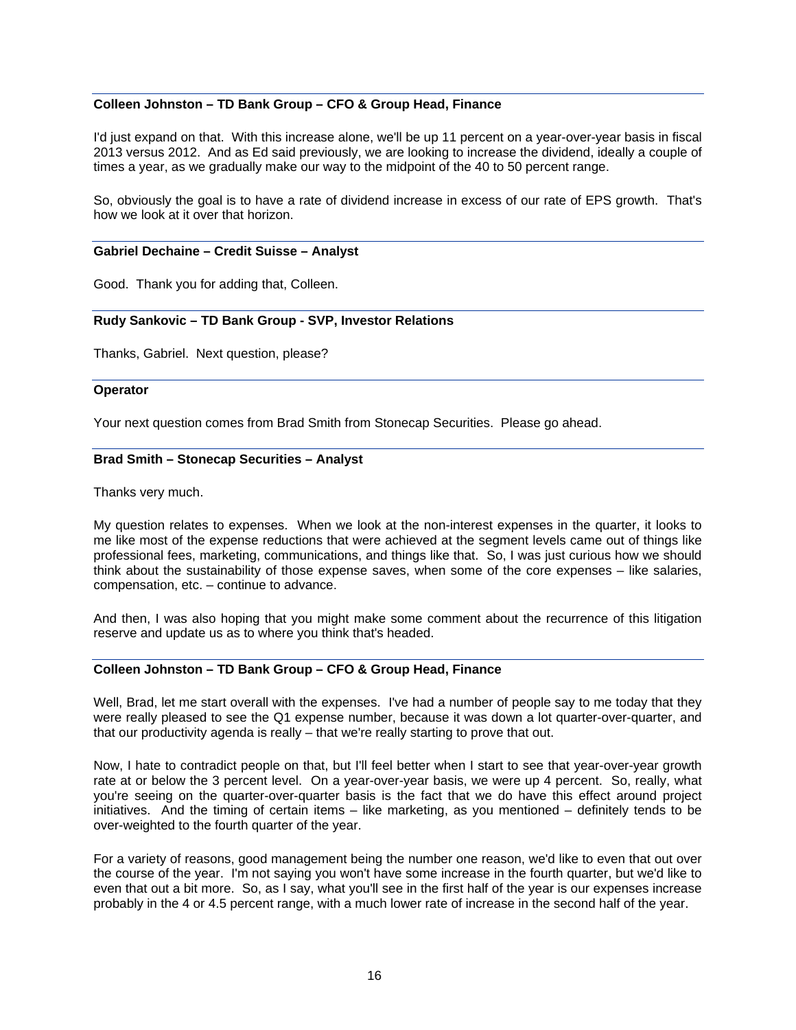# **Colleen Johnston – TD Bank Group – CFO & Group Head, Finance**

I'd just expand on that. With this increase alone, we'll be up 11 percent on a year-over-year basis in fiscal 2013 versus 2012. And as Ed said previously, we are looking to increase the dividend, ideally a couple of times a year, as we gradually make our way to the midpoint of the 40 to 50 percent range.

So, obviously the goal is to have a rate of dividend increase in excess of our rate of EPS growth. That's how we look at it over that horizon.

# **Gabriel Dechaine – Credit Suisse – Analyst**

Good. Thank you for adding that, Colleen.

### **Rudy Sankovic – TD Bank Group - SVP, Investor Relations**

Thanks, Gabriel. Next question, please?

### **Operator**

Your next question comes from Brad Smith from Stonecap Securities. Please go ahead.

### **Brad Smith – Stonecap Securities – Analyst**

Thanks very much.

My question relates to expenses. When we look at the non-interest expenses in the quarter, it looks to me like most of the expense reductions that were achieved at the segment levels came out of things like professional fees, marketing, communications, and things like that. So, I was just curious how we should think about the sustainability of those expense saves, when some of the core expenses – like salaries, compensation, etc. – continue to advance.

And then, I was also hoping that you might make some comment about the recurrence of this litigation reserve and update us as to where you think that's headed.

# **Colleen Johnston – TD Bank Group – CFO & Group Head, Finance**

Well, Brad, let me start overall with the expenses. I've had a number of people say to me today that they were really pleased to see the Q1 expense number, because it was down a lot quarter-over-quarter, and that our productivity agenda is really – that we're really starting to prove that out.

Now, I hate to contradict people on that, but I'll feel better when I start to see that year-over-year growth rate at or below the 3 percent level. On a year-over-year basis, we were up 4 percent. So, really, what you're seeing on the quarter-over-quarter basis is the fact that we do have this effect around project initiatives. And the timing of certain items – like marketing, as you mentioned – definitely tends to be over-weighted to the fourth quarter of the year.

For a variety of reasons, good management being the number one reason, we'd like to even that out over the course of the year. I'm not saying you won't have some increase in the fourth quarter, but we'd like to even that out a bit more. So, as I say, what you'll see in the first half of the year is our expenses increase probably in the 4 or 4.5 percent range, with a much lower rate of increase in the second half of the year.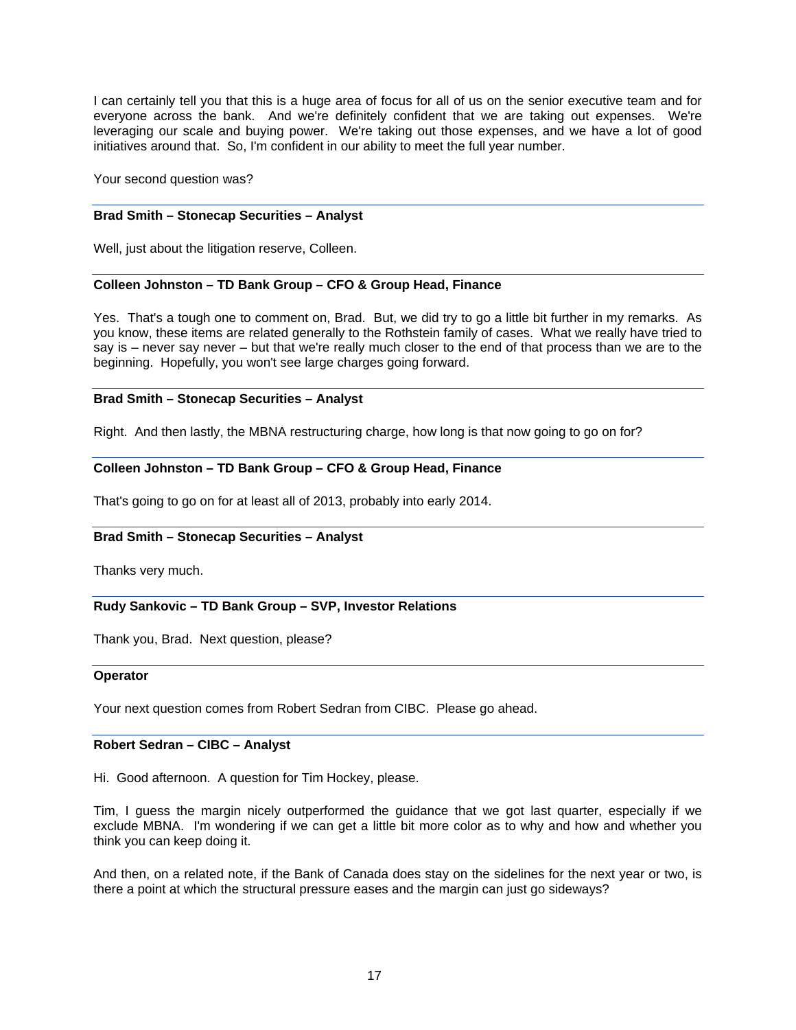I can certainly tell you that this is a huge area of focus for all of us on the senior executive team and for everyone across the bank. And we're definitely confident that we are taking out expenses. We're leveraging our scale and buying power. We're taking out those expenses, and we have a lot of good initiatives around that. So, I'm confident in our ability to meet the full year number.

Your second question was?

# **Brad Smith – Stonecap Securities – Analyst**

Well, just about the litigation reserve, Colleen.

### **Colleen Johnston – TD Bank Group – CFO & Group Head, Finance**

Yes. That's a tough one to comment on, Brad. But, we did try to go a little bit further in my remarks. As you know, these items are related generally to the Rothstein family of cases. What we really have tried to say is – never say never – but that we're really much closer to the end of that process than we are to the beginning. Hopefully, you won't see large charges going forward.

### **Brad Smith – Stonecap Securities – Analyst**

Right. And then lastly, the MBNA restructuring charge, how long is that now going to go on for?

# **Colleen Johnston – TD Bank Group – CFO & Group Head, Finance**

That's going to go on for at least all of 2013, probably into early 2014.

# **Brad Smith – Stonecap Securities – Analyst**

Thanks very much.

### **Rudy Sankovic – TD Bank Group – SVP, Investor Relations**

Thank you, Brad. Next question, please?

### **Operator**

Your next question comes from Robert Sedran from CIBC. Please go ahead.

### **Robert Sedran – CIBC – Analyst**

Hi. Good afternoon. A question for Tim Hockey, please.

Tim, I guess the margin nicely outperformed the guidance that we got last quarter, especially if we exclude MBNA. I'm wondering if we can get a little bit more color as to why and how and whether you think you can keep doing it.

And then, on a related note, if the Bank of Canada does stay on the sidelines for the next year or two, is there a point at which the structural pressure eases and the margin can just go sideways?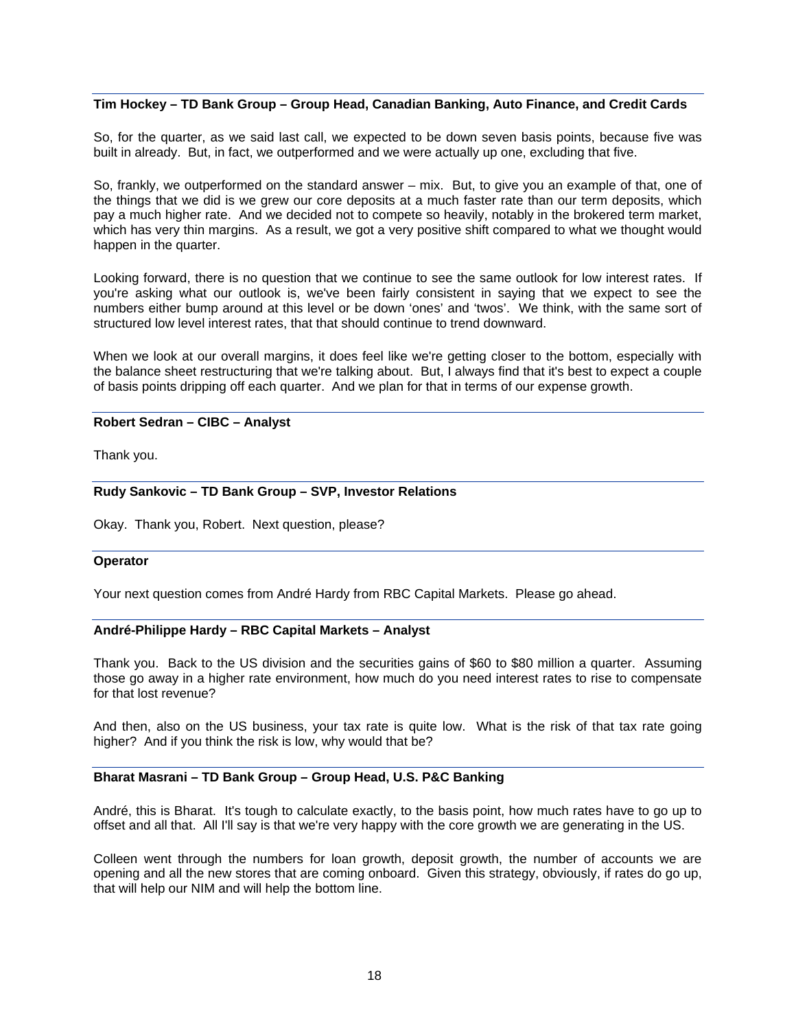### **Tim Hockey – TD Bank Group – Group Head, Canadian Banking, Auto Finance, and Credit Cards**

So, for the quarter, as we said last call, we expected to be down seven basis points, because five was built in already. But, in fact, we outperformed and we were actually up one, excluding that five.

So, frankly, we outperformed on the standard answer – mix. But, to give you an example of that, one of the things that we did is we grew our core deposits at a much faster rate than our term deposits, which pay a much higher rate. And we decided not to compete so heavily, notably in the brokered term market, which has very thin margins. As a result, we got a very positive shift compared to what we thought would happen in the quarter.

Looking forward, there is no question that we continue to see the same outlook for low interest rates. If you're asking what our outlook is, we've been fairly consistent in saying that we expect to see the numbers either bump around at this level or be down 'ones' and 'twos'. We think, with the same sort of structured low level interest rates, that that should continue to trend downward.

When we look at our overall margins, it does feel like we're getting closer to the bottom, especially with the balance sheet restructuring that we're talking about. But, I always find that it's best to expect a couple of basis points dripping off each quarter. And we plan for that in terms of our expense growth.

### **Robert Sedran – CIBC – Analyst**

Thank you.

### **Rudy Sankovic – TD Bank Group – SVP, Investor Relations**

Okay. Thank you, Robert. Next question, please?

### **Operator**

Your next question comes from André Hardy from RBC Capital Markets. Please go ahead.

# **André-Philippe Hardy – RBC Capital Markets – Analyst**

Thank you. Back to the US division and the securities gains of \$60 to \$80 million a quarter. Assuming those go away in a higher rate environment, how much do you need interest rates to rise to compensate for that lost revenue?

And then, also on the US business, your tax rate is quite low. What is the risk of that tax rate going higher? And if you think the risk is low, why would that be?

### **Bharat Masrani – TD Bank Group – Group Head, U.S. P&C Banking**

André, this is Bharat. It's tough to calculate exactly, to the basis point, how much rates have to go up to offset and all that. All I'll say is that we're very happy with the core growth we are generating in the US.

Colleen went through the numbers for loan growth, deposit growth, the number of accounts we are opening and all the new stores that are coming onboard. Given this strategy, obviously, if rates do go up, that will help our NIM and will help the bottom line.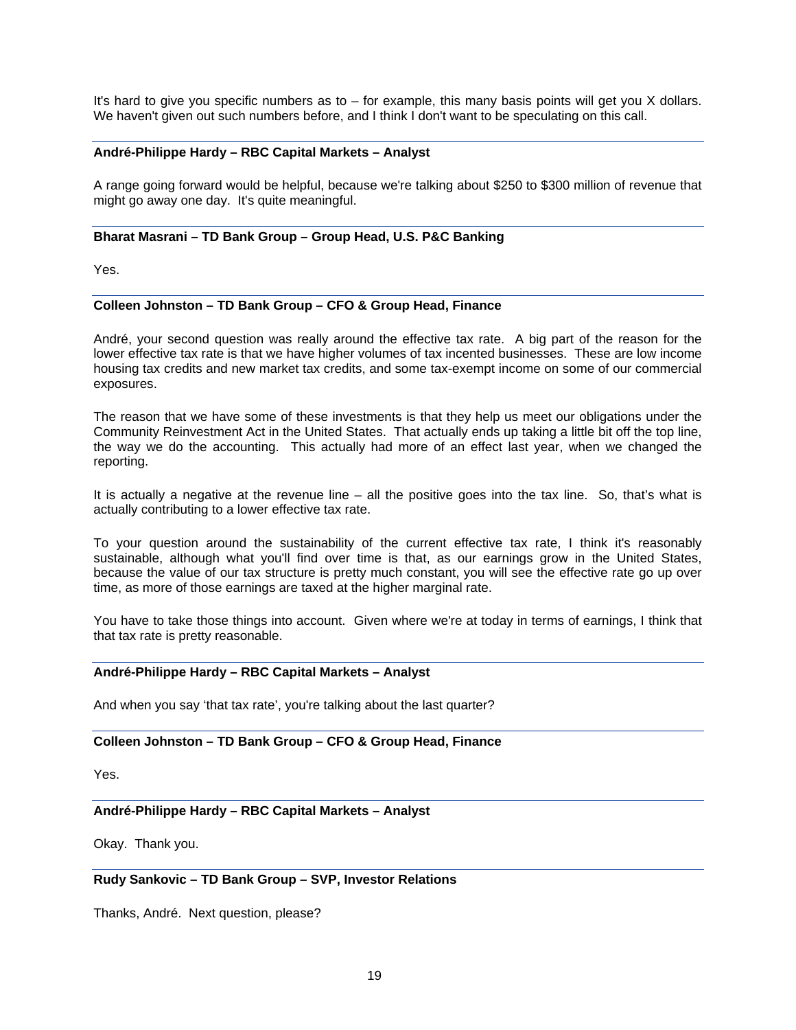It's hard to give you specific numbers as to – for example, this many basis points will get you X dollars. We haven't given out such numbers before, and I think I don't want to be speculating on this call.

### **André-Philippe Hardy – RBC Capital Markets – Analyst**

A range going forward would be helpful, because we're talking about \$250 to \$300 million of revenue that might go away one day. It's quite meaningful.

### **Bharat Masrani – TD Bank Group – Group Head, U.S. P&C Banking**

Yes.

### **Colleen Johnston – TD Bank Group – CFO & Group Head, Finance**

André, your second question was really around the effective tax rate. A big part of the reason for the lower effective tax rate is that we have higher volumes of tax incented businesses. These are low income housing tax credits and new market tax credits, and some tax-exempt income on some of our commercial exposures.

The reason that we have some of these investments is that they help us meet our obligations under the Community Reinvestment Act in the United States. That actually ends up taking a little bit off the top line, the way we do the accounting. This actually had more of an effect last year, when we changed the reporting.

It is actually a negative at the revenue line  $-$  all the positive goes into the tax line. So, that's what is actually contributing to a lower effective tax rate.

To your question around the sustainability of the current effective tax rate, I think it's reasonably sustainable, although what you'll find over time is that, as our earnings grow in the United States, because the value of our tax structure is pretty much constant, you will see the effective rate go up over time, as more of those earnings are taxed at the higher marginal rate.

You have to take those things into account. Given where we're at today in terms of earnings, I think that that tax rate is pretty reasonable.

# **André-Philippe Hardy – RBC Capital Markets – Analyst**

And when you say 'that tax rate', you're talking about the last quarter?

### **Colleen Johnston – TD Bank Group – CFO & Group Head, Finance**

Yes.

### **André-Philippe Hardy – RBC Capital Markets – Analyst**

Okay. Thank you.

# **Rudy Sankovic – TD Bank Group – SVP, Investor Relations**

Thanks, André. Next question, please?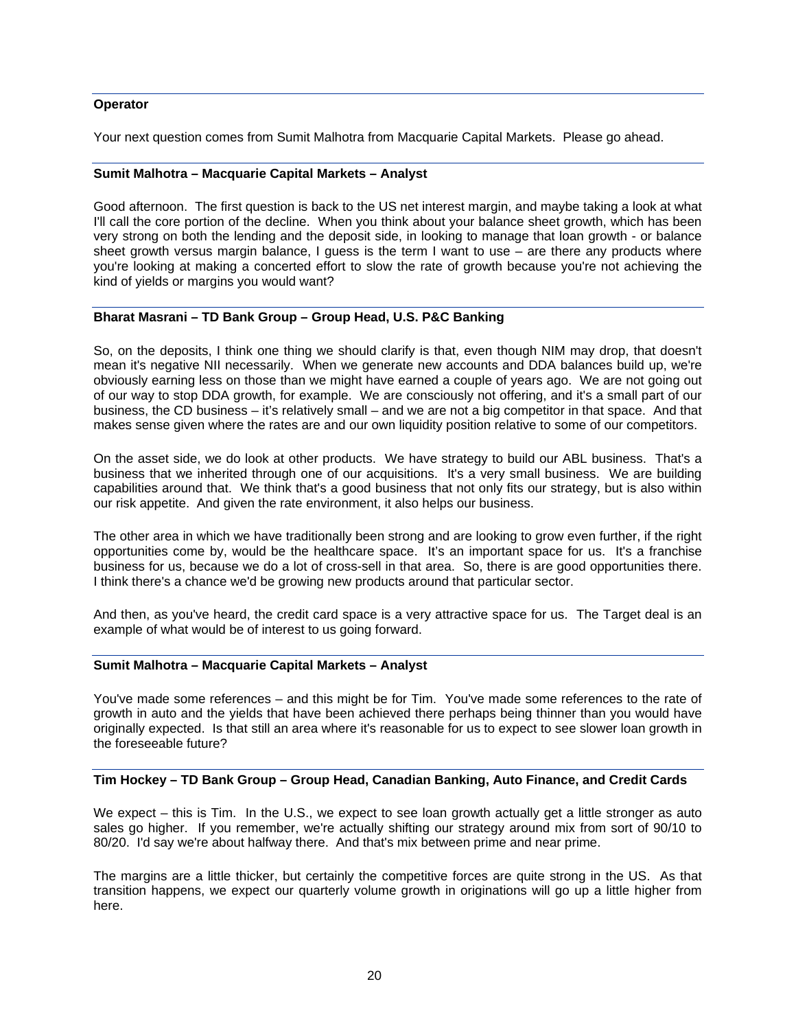# **Operator**

Your next question comes from Sumit Malhotra from Macquarie Capital Markets. Please go ahead.

# **Sumit Malhotra – Macquarie Capital Markets – Analyst**

Good afternoon. The first question is back to the US net interest margin, and maybe taking a look at what I'll call the core portion of the decline. When you think about your balance sheet growth, which has been very strong on both the lending and the deposit side, in looking to manage that loan growth - or balance sheet growth versus margin balance, I guess is the term I want to use – are there any products where you're looking at making a concerted effort to slow the rate of growth because you're not achieving the kind of yields or margins you would want?

# **Bharat Masrani – TD Bank Group – Group Head, U.S. P&C Banking**

So, on the deposits, I think one thing we should clarify is that, even though NIM may drop, that doesn't mean it's negative NII necessarily. When we generate new accounts and DDA balances build up, we're obviously earning less on those than we might have earned a couple of years ago. We are not going out of our way to stop DDA growth, for example. We are consciously not offering, and it's a small part of our business, the CD business – it's relatively small – and we are not a big competitor in that space. And that makes sense given where the rates are and our own liquidity position relative to some of our competitors.

On the asset side, we do look at other products. We have strategy to build our ABL business. That's a business that we inherited through one of our acquisitions. It's a very small business. We are building capabilities around that. We think that's a good business that not only fits our strategy, but is also within our risk appetite. And given the rate environment, it also helps our business.

The other area in which we have traditionally been strong and are looking to grow even further, if the right opportunities come by, would be the healthcare space. It's an important space for us. It's a franchise business for us, because we do a lot of cross-sell in that area. So, there is are good opportunities there. I think there's a chance we'd be growing new products around that particular sector.

And then, as you've heard, the credit card space is a very attractive space for us. The Target deal is an example of what would be of interest to us going forward.

### **Sumit Malhotra – Macquarie Capital Markets – Analyst**

You've made some references – and this might be for Tim. You've made some references to the rate of growth in auto and the yields that have been achieved there perhaps being thinner than you would have originally expected. Is that still an area where it's reasonable for us to expect to see slower loan growth in the foreseeable future?

# **Tim Hockey – TD Bank Group – Group Head, Canadian Banking, Auto Finance, and Credit Cards**

We expect – this is Tim. In the U.S., we expect to see loan growth actually get a little stronger as auto sales go higher. If you remember, we're actually shifting our strategy around mix from sort of 90/10 to 80/20. I'd say we're about halfway there. And that's mix between prime and near prime.

The margins are a little thicker, but certainly the competitive forces are quite strong in the US. As that transition happens, we expect our quarterly volume growth in originations will go up a little higher from here.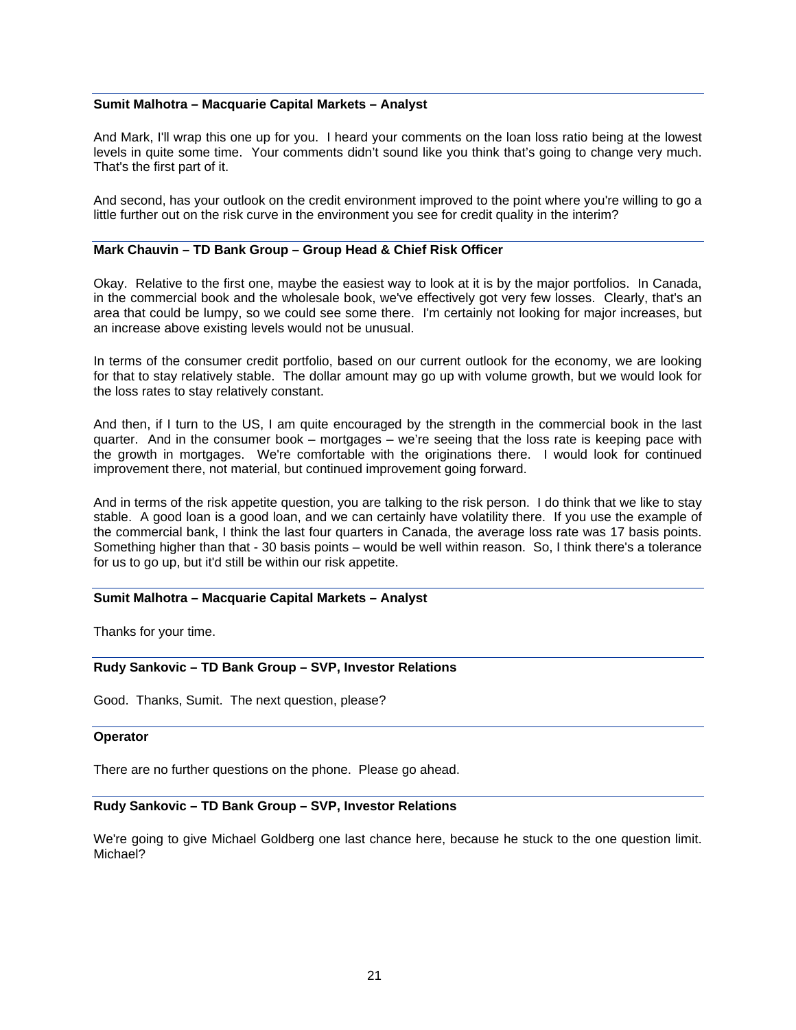### **Sumit Malhotra – Macquarie Capital Markets – Analyst**

And Mark, I'll wrap this one up for you. I heard your comments on the loan loss ratio being at the lowest levels in quite some time. Your comments didn't sound like you think that's going to change very much. That's the first part of it.

And second, has your outlook on the credit environment improved to the point where you're willing to go a little further out on the risk curve in the environment you see for credit quality in the interim?

# **Mark Chauvin – TD Bank Group – Group Head & Chief Risk Officer**

Okay. Relative to the first one, maybe the easiest way to look at it is by the major portfolios. In Canada, in the commercial book and the wholesale book, we've effectively got very few losses. Clearly, that's an area that could be lumpy, so we could see some there. I'm certainly not looking for major increases, but an increase above existing levels would not be unusual.

In terms of the consumer credit portfolio, based on our current outlook for the economy, we are looking for that to stay relatively stable. The dollar amount may go up with volume growth, but we would look for the loss rates to stay relatively constant.

And then, if I turn to the US, I am quite encouraged by the strength in the commercial book in the last quarter. And in the consumer book – mortgages – we're seeing that the loss rate is keeping pace with the growth in mortgages. We're comfortable with the originations there. I would look for continued improvement there, not material, but continued improvement going forward.

And in terms of the risk appetite question, you are talking to the risk person. I do think that we like to stay stable. A good loan is a good loan, and we can certainly have volatility there. If you use the example of the commercial bank, I think the last four quarters in Canada, the average loss rate was 17 basis points. Something higher than that - 30 basis points – would be well within reason. So, I think there's a tolerance for us to go up, but it'd still be within our risk appetite.

# **Sumit Malhotra – Macquarie Capital Markets – Analyst**

Thanks for your time.

### **Rudy Sankovic – TD Bank Group – SVP, Investor Relations**

Good. Thanks, Sumit. The next question, please?

### **Operator**

There are no further questions on the phone. Please go ahead.

### **Rudy Sankovic – TD Bank Group – SVP, Investor Relations**

We're going to give Michael Goldberg one last chance here, because he stuck to the one question limit. Michael?